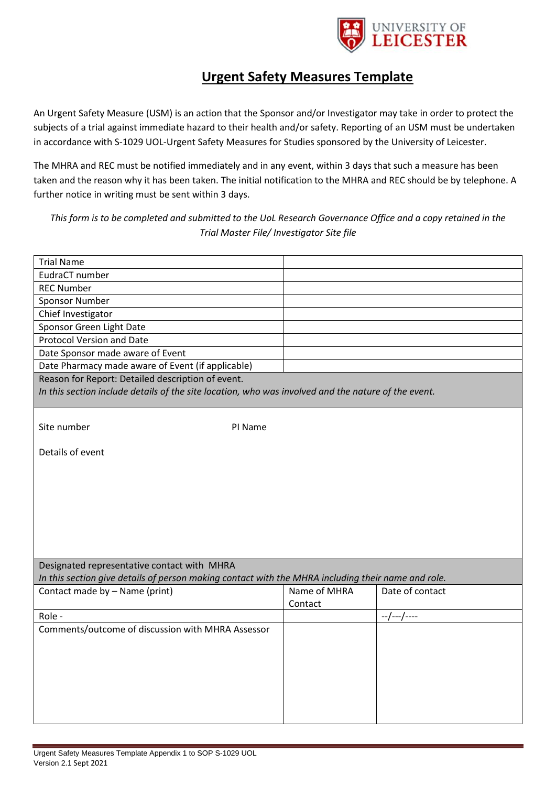

## **Urgent Safety Measures Template**

An Urgent Safety Measure (USM) is an action that the Sponsor and/or Investigator may take in order to protect the subjects of a trial against immediate hazard to their health and/or safety. Reporting of an USM must be undertaken in accordance with S-1029 UOL-Urgent Safety Measures for Studies sponsored by the University of Leicester.

The MHRA and REC must be notified immediately and in any event, within 3 days that such a measure has been taken and the reason why it has been taken. The initial notification to the MHRA and REC should be by telephone. A further notice in writing must be sent within 3 days.

*This form is to be completed and submitted to the UoL Research Governance Office and a copy retained in the Trial Master File/ Investigator Site file*

| <b>Trial Name</b>                                                                                   |              |                 |
|-----------------------------------------------------------------------------------------------------|--------------|-----------------|
| EudraCT number                                                                                      |              |                 |
| <b>REC Number</b>                                                                                   |              |                 |
| <b>Sponsor Number</b>                                                                               |              |                 |
| Chief Investigator                                                                                  |              |                 |
| Sponsor Green Light Date                                                                            |              |                 |
| <b>Protocol Version and Date</b>                                                                    |              |                 |
| Date Sponsor made aware of Event                                                                    |              |                 |
| Date Pharmacy made aware of Event (if applicable)                                                   |              |                 |
| Reason for Report: Detailed description of event.                                                   |              |                 |
| In this section include details of the site location, who was involved and the nature of the event. |              |                 |
|                                                                                                     |              |                 |
|                                                                                                     |              |                 |
| Site number<br>PI Name                                                                              |              |                 |
| Details of event                                                                                    |              |                 |
|                                                                                                     |              |                 |
|                                                                                                     |              |                 |
|                                                                                                     |              |                 |
|                                                                                                     |              |                 |
|                                                                                                     |              |                 |
|                                                                                                     |              |                 |
|                                                                                                     |              |                 |
|                                                                                                     |              |                 |
| Designated representative contact with MHRA                                                         |              |                 |
| In this section give details of person making contact with the MHRA including their name and role.  |              |                 |
| Contact made by - Name (print)                                                                      | Name of MHRA | Date of contact |
|                                                                                                     | Contact      |                 |
| Role -                                                                                              |              | $-$ /---/----   |
| Comments/outcome of discussion with MHRA Assessor                                                   |              |                 |
|                                                                                                     |              |                 |
|                                                                                                     |              |                 |
|                                                                                                     |              |                 |
|                                                                                                     |              |                 |
|                                                                                                     |              |                 |
|                                                                                                     |              |                 |
|                                                                                                     |              |                 |
|                                                                                                     |              |                 |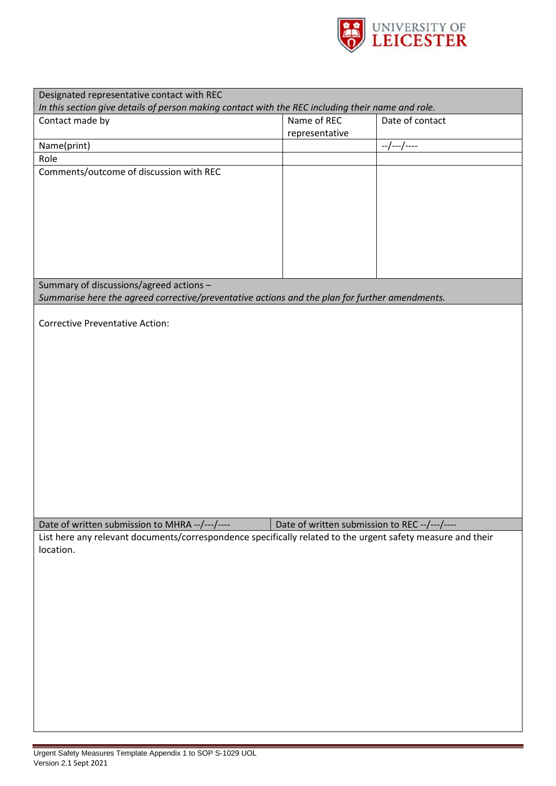

| Designated representative contact with REC                                                                  |                                              |                 |  |  |
|-------------------------------------------------------------------------------------------------------------|----------------------------------------------|-----------------|--|--|
| In this section give details of person making contact with the REC including their name and role.           |                                              |                 |  |  |
| Contact made by                                                                                             | Name of REC                                  | Date of contact |  |  |
|                                                                                                             | representative                               |                 |  |  |
| Name(print)                                                                                                 |                                              | --/---/----     |  |  |
| Role                                                                                                        |                                              |                 |  |  |
| Comments/outcome of discussion with REC                                                                     |                                              |                 |  |  |
|                                                                                                             |                                              |                 |  |  |
|                                                                                                             |                                              |                 |  |  |
|                                                                                                             |                                              |                 |  |  |
|                                                                                                             |                                              |                 |  |  |
|                                                                                                             |                                              |                 |  |  |
|                                                                                                             |                                              |                 |  |  |
|                                                                                                             |                                              |                 |  |  |
|                                                                                                             |                                              |                 |  |  |
|                                                                                                             |                                              |                 |  |  |
| Summary of discussions/agreed actions -                                                                     |                                              |                 |  |  |
| Summarise here the agreed corrective/preventative actions and the plan for further amendments.              |                                              |                 |  |  |
|                                                                                                             |                                              |                 |  |  |
| <b>Corrective Preventative Action:</b>                                                                      |                                              |                 |  |  |
|                                                                                                             |                                              |                 |  |  |
|                                                                                                             |                                              |                 |  |  |
|                                                                                                             |                                              |                 |  |  |
|                                                                                                             |                                              |                 |  |  |
|                                                                                                             |                                              |                 |  |  |
|                                                                                                             |                                              |                 |  |  |
|                                                                                                             |                                              |                 |  |  |
|                                                                                                             |                                              |                 |  |  |
|                                                                                                             |                                              |                 |  |  |
|                                                                                                             |                                              |                 |  |  |
|                                                                                                             |                                              |                 |  |  |
|                                                                                                             |                                              |                 |  |  |
|                                                                                                             |                                              |                 |  |  |
|                                                                                                             |                                              |                 |  |  |
|                                                                                                             |                                              |                 |  |  |
|                                                                                                             |                                              |                 |  |  |
| Date of written submission to MHRA --/---/----                                                              | Date of written submission to REC--/---/---- |                 |  |  |
|                                                                                                             |                                              |                 |  |  |
| List here any relevant documents/correspondence specifically related to the urgent safety measure and their |                                              |                 |  |  |
| location.                                                                                                   |                                              |                 |  |  |
|                                                                                                             |                                              |                 |  |  |
|                                                                                                             |                                              |                 |  |  |
|                                                                                                             |                                              |                 |  |  |
|                                                                                                             |                                              |                 |  |  |
|                                                                                                             |                                              |                 |  |  |
|                                                                                                             |                                              |                 |  |  |
|                                                                                                             |                                              |                 |  |  |
|                                                                                                             |                                              |                 |  |  |
|                                                                                                             |                                              |                 |  |  |
|                                                                                                             |                                              |                 |  |  |
|                                                                                                             |                                              |                 |  |  |
|                                                                                                             |                                              |                 |  |  |
|                                                                                                             |                                              |                 |  |  |
|                                                                                                             |                                              |                 |  |  |
|                                                                                                             |                                              |                 |  |  |